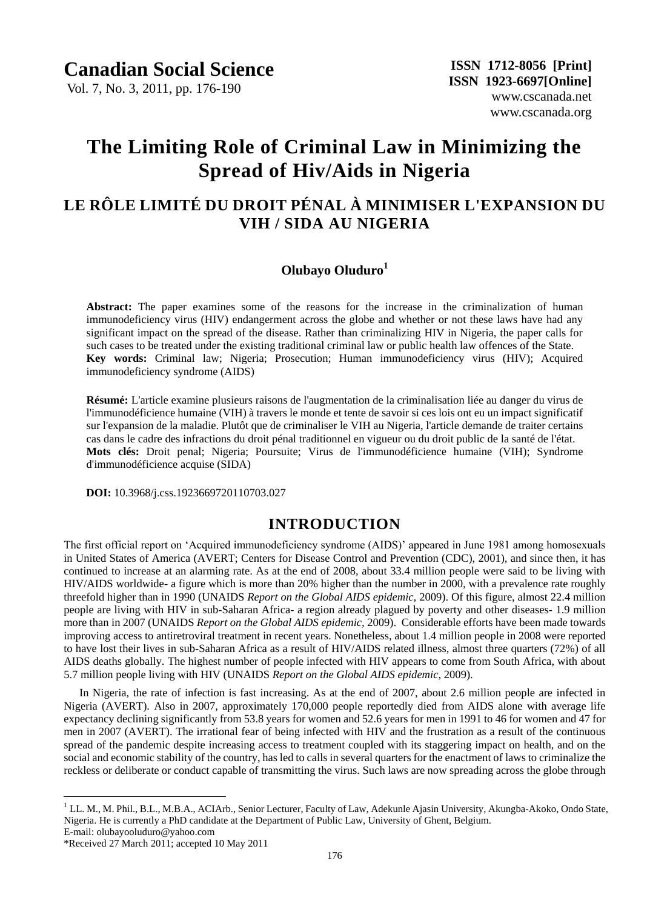Vol. 7, No. 3, 2011, pp. 176-190

# **The Limiting Role of Criminal Law in Minimizing the Spread of Hiv/Aids in Nigeria**

## **LE RÔLE LIMITÉ DU DROIT PÉNAL À MINIMISER L'EXPANSION DU VIH / SIDA AU NIGERIA**

### **Olubayo Oluduro<sup>1</sup>**

**Abstract:** The paper examines some of the reasons for the increase in the criminalization of human immunodeficiency virus (HIV) endangerment across the globe and whether or not these laws have had any significant impact on the spread of the disease. Rather than criminalizing HIV in Nigeria, the paper calls for such cases to be treated under the existing traditional criminal law or public health law offences of the State. **Key words:** Criminal law; Nigeria; Prosecution; Human immunodeficiency virus (HIV); Acquired immunodeficiency syndrome (AIDS)

**Résumé:** L'article examine plusieurs raisons de l'augmentation de la criminalisation liée au danger du virus de l'immunodéficience humaine (VIH) à travers le monde et tente de savoir si ces lois ont eu un impact significatif sur l'expansion de la maladie. Plut $\hat{\alpha}$  que de criminaliser le VIH au Nigeria, l'article demande de traiter certains cas dans le cadre des infractions du droit pénal traditionnel en vigueur ou du droit public de la santéde l'état. **Mots clés:** Droit penal; Nigeria; Poursuite; Virus de l'immunodéficience humaine (VIH); Syndrome d'immunodéficience acquise (SIDA)

 **DOI:** 10.3968/j.css.1923669720110703.027

### **INTRODUCTION**

The first official report on "Acquired immunodeficiency syndrome (AIDS)" appeared in June 1981 among homosexuals in United States of America (AVERT; Centers for Disease Control and Prevention (CDC), 2001), and since then, it has continued to increase at an alarming rate. As at the end of 2008, about 33.4 million people were said to be living with HIV/AIDS worldwide- a figure which is more than 20% higher than the number in 2000, with a prevalence rate roughly threefold higher than in 1990 (UNAIDS *Report on the Global AIDS epidemic,* 2009). Of this figure, almost 22.4 million people are living with HIV in sub-Saharan Africa- a region already plagued by poverty and other diseases- 1.9 million more than in 2007 (UNAIDS *Report on the Global AIDS epidemic,* 2009). Considerable efforts have been made towards improving access to antiretroviral treatment in recent years. Nonetheless, about 1.4 million people in 2008 were reported to have lost their lives in sub-Saharan Africa as a result of HIV/AIDS related illness, almost three quarters (72%) of all AIDS deaths globally. The highest number of people infected with HIV appears to come from South Africa, with about 5.7 million people living with HIV (UNAIDS *Report on the Global AIDS epidemic,* 2009).

In Nigeria, the rate of infection is fast increasing. As at the end of 2007, about 2.6 million people are infected in Nigeria (AVERT). Also in 2007, approximately 170,000 people reportedly died from AIDS alone with average life expectancy declining significantly from 53.8 years for women and 52.6 years for men in 1991 to 46 for women and 47 for men in 2007 (AVERT). The irrational fear of being infected with HIV and the frustration as a result of the continuous spread of the pandemic despite increasing access to treatment coupled with its staggering impact on health, and on the social and economic stability of the country, has led to calls in several quarters for the enactment of laws to criminalize the reckless or deliberate or conduct capable of transmitting the virus. Such laws are now spreading across the globe through

 $\overline{a}$ 

<sup>&</sup>lt;sup>1</sup> LL. M., M. Phil., B.L., M.B.A., ACIArb., Senior Lecturer, Faculty of Law, Adekunle Ajasin University, Akungba-Akoko, Ondo State, Nigeria. He is currently a PhD candidate at the Department of Public Law, University of Ghent, Belgium.

E-mail: olubayooluduro@yahoo.com

<sup>\*</sup>Received 27 March 2011; accepted 10 May 2011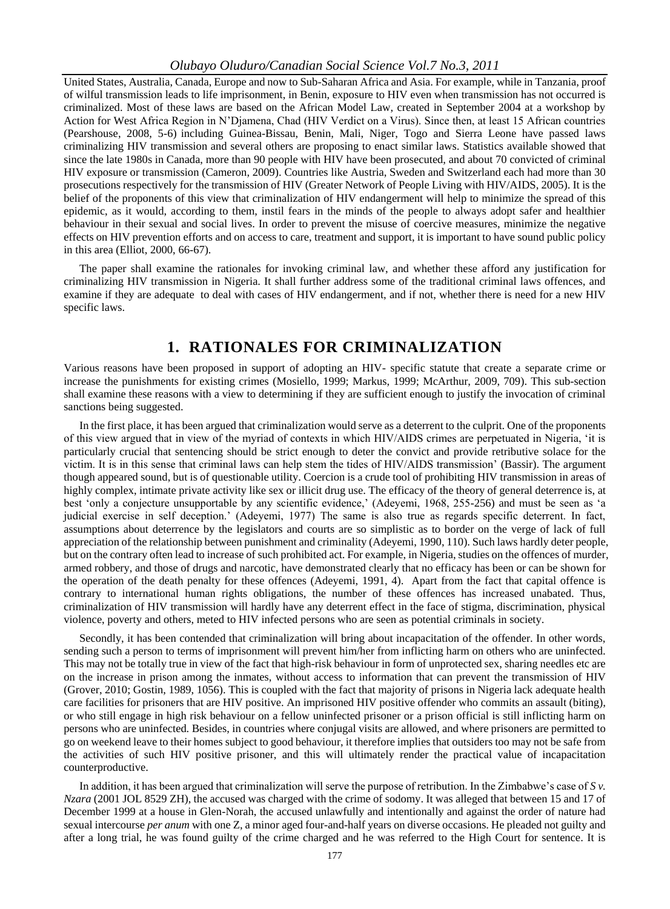United States, Australia, Canada, Europe and now to Sub-Saharan Africa and Asia. For example, while in Tanzania, proof of wilful transmission leads to life imprisonment, in Benin, exposure to HIV even when transmission has not occurred is criminalized. Most of these laws are based on the African Model Law, created in September 2004 at a workshop by Action for West Africa Region in N"Djamena, Chad (HIV Verdict on a Virus). Since then, at least 15 African countries (Pearshouse, 2008, 5-6) including Guinea-Bissau, Benin, Mali, Niger, Togo and Sierra Leone have passed laws criminalizing HIV transmission and several others are proposing to enact similar laws. Statistics available showed that since the late 1980s in Canada, more than 90 people with HIV have been prosecuted, and about 70 convicted of criminal HIV exposure or transmission (Cameron, 2009). Countries like Austria, Sweden and Switzerland each had more than 30 prosecutions respectively for the transmission of HIV (Greater Network of People Living with HIV/AIDS, 2005). It is the belief of the proponents of this view that criminalization of HIV endangerment will help to minimize the spread of this epidemic, as it would, according to them, instil fears in the minds of the people to always adopt safer and healthier behaviour in their sexual and social lives. In order to prevent the misuse of coercive measures, minimize the negative effects on HIV prevention efforts and on access to care, treatment and support, it is important to have sound public policy in this area (Elliot, 2000, 66-67).

The paper shall examine the rationales for invoking criminal law, and whether these afford any justification for criminalizing HIV transmission in Nigeria. It shall further address some of the traditional criminal laws offences, and examine if they are adequate to deal with cases of HIV endangerment, and if not, whether there is need for a new HIV specific laws.

### **1. RATIONALES FOR CRIMINALIZATION**

Various reasons have been proposed in support of adopting an HIV- specific statute that create a separate crime or increase the punishments for existing crimes (Mosiello, 1999; Markus, 1999; McArthur, 2009, 709). This sub-section shall examine these reasons with a view to determining if they are sufficient enough to justify the invocation of criminal sanctions being suggested.

In the first place, it has been argued that criminalization would serve as a deterrent to the culprit. One of the proponents of this view argued that in view of the myriad of contexts in which HIV/AIDS crimes are perpetuated in Nigeria, "it is particularly crucial that sentencing should be strict enough to deter the convict and provide retributive solace for the victim. It is in this sense that criminal laws can help stem the tides of HIV/AIDS transmission" (Bassir). The argument though appeared sound, but is of questionable utility. Coercion is a crude tool of prohibiting HIV transmission in areas of highly complex, intimate private activity like sex or illicit drug use. The efficacy of the theory of general deterrence is, at best 'only a conjecture unsupportable by any scientific evidence,' (Adeyemi, 1968, 255-256) and must be seen as 'a judicial exercise in self deception." (Adeyemi, 1977) The same is also true as regards specific deterrent. In fact, assumptions about deterrence by the legislators and courts are so simplistic as to border on the verge of lack of full appreciation of the relationship between punishment and criminality (Adeyemi, 1990, 110). Such laws hardly deter people, but on the contrary often lead to increase of such prohibited act. For example, in Nigeria, studies on the offences of murder, armed robbery, and those of drugs and narcotic, have demonstrated clearly that no efficacy has been or can be shown for the operation of the death penalty for these offences (Adeyemi, 1991, 4). Apart from the fact that capital offence is contrary to international human rights obligations, the number of these offences has increased unabated. Thus, criminalization of HIV transmission will hardly have any deterrent effect in the face of stigma, discrimination, physical violence, poverty and others, meted to HIV infected persons who are seen as potential criminals in society.

Secondly, it has been contended that criminalization will bring about incapacitation of the offender. In other words, sending such a person to terms of imprisonment will prevent him/her from inflicting harm on others who are uninfected. This may not be totally true in view of the fact that high-risk behaviour in form of unprotected sex, sharing needles etc are on the increase in prison among the inmates, without access to information that can prevent the transmission of HIV (Grover, 2010; Gostin, 1989, 1056). This is coupled with the fact that majority of prisons in Nigeria lack adequate health care facilities for prisoners that are HIV positive. An imprisoned HIV positive offender who commits an assault (biting), or who still engage in high risk behaviour on a fellow uninfected prisoner or a prison official is still inflicting harm on persons who are uninfected. Besides, in countries where conjugal visits are allowed, and where prisoners are permitted to go on weekend leave to their homes subject to good behaviour, it therefore implies that outsiders too may not be safe from the activities of such HIV positive prisoner, and this will ultimately render the practical value of incapacitation counterproductive.

In addition, it has been argued that criminalization will serve the purpose of retribution. In the Zimbabwe's case of *Sv*. *Nzara* (2001 JOL 8529 ZH), the accused was charged with the crime of sodomy. It was alleged that between 15 and 17 of December 1999 at a house in Glen-Norah, the accused unlawfully and intentionally and against the order of nature had sexual intercourse *per anum* with one Z, a minor aged four-and-half years on diverse occasions. He pleaded not guilty and after a long trial, he was found guilty of the crime charged and he was referred to the High Court for sentence. It is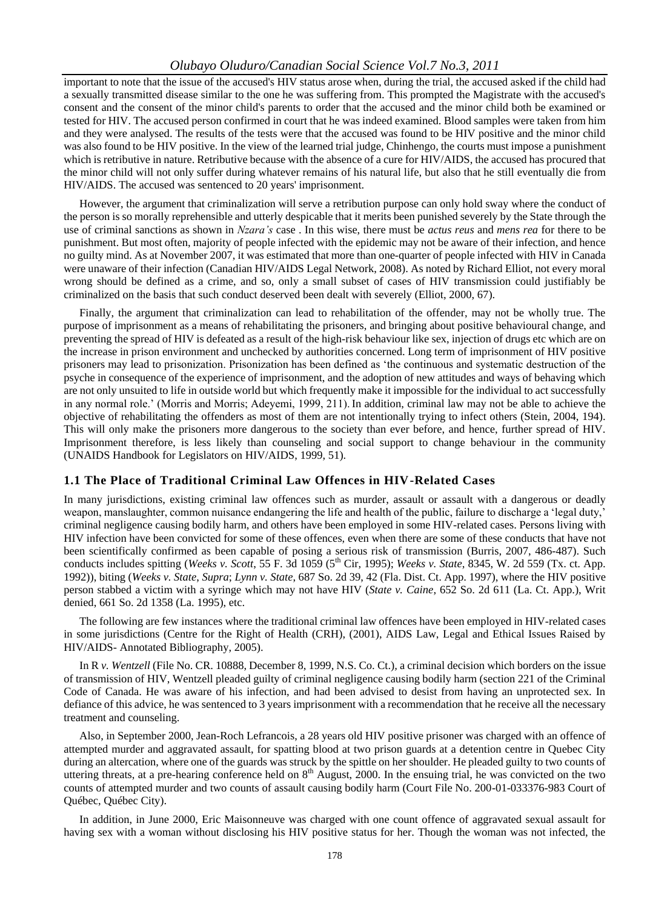important to note that the issue of the accused's HIV status arose when, during the trial, the accused asked if the child had a sexually transmitted disease similar to the one he was suffering from. This prompted the Magistrate with the accused's consent and the consent of the minor child's parents to order that the accused and the minor child both be examined or tested for HIV. The accused person confirmed in court that he was indeed examined. Blood samples were taken from him and they were analysed. The results of the tests were that the accused was found to be HIV positive and the minor child was also found to be HIV positive. In the view of the learned trial judge, Chinhengo, the courts must impose a punishment which is retributive in nature. Retributive because with the absence of a cure for HIV/AIDS, the accused has procured that the minor child will not only suffer during whatever remains of his natural life, but also that he still eventually die from HIV/AIDS. The accused was sentenced to 20 years' imprisonment.

However, the argument that criminalization will serve a retribution purpose can only hold sway where the conduct of the person is so morally reprehensible and utterly despicable that it merits been punished severely by the State through the use of criminal sanctions as shown in *Nzara's* case . In this wise, there must be *actus reus* and *mens rea* for there to be punishment. But most often, majority of people infected with the epidemic may not be aware of their infection, and hence no guilty mind. As at November 2007, it was estimated that more than one-quarter of people infected with HIV in Canada were unaware of their infection (Canadian HIV/AIDS Legal Network, 2008). As noted by Richard Elliot, not every moral wrong should be defined as a crime, and so, only a small subset of cases of HIV transmission could justifiably be criminalized on the basis that such conduct deserved been dealt with severely (Elliot, 2000, 67).

Finally, the argument that criminalization can lead to rehabilitation of the offender, may not be wholly true. The purpose of imprisonment as a means of rehabilitating the prisoners, and bringing about positive behavioural change, and preventing the spread of HIV is defeated as a result of the high-risk behaviour like sex, injection of drugs etc which are on the increase in prison environment and unchecked by authorities concerned. Long term of imprisonment of HIV positive prisoners may lead to prisonization. Prisonization has been defined as "the continuous and systematic destruction of the psyche in consequence of the experience of imprisonment, and the adoption of new attitudes and ways of behaving which are not only unsuited to life in outside world but which frequently make it impossible for the individual to act successfully in any normal role." (Morris and Morris; Adeyemi, 1999, 211). In addition, criminal law may not be able to achieve the objective of rehabilitating the offenders as most of them are not intentionally trying to infect others (Stein, 2004, 194). This will only make the prisoners more dangerous to the society than ever before, and hence, further spread of HIV. Imprisonment therefore, is less likely than counseling and social support to change behaviour in the community (UNAIDS Handbook for Legislators on HIV/AIDS, 1999, 51).

### **1.1 The Place of Traditional Criminal Law Offences in HIV-Related Cases**

In many jurisdictions, existing criminal law offences such as murder, assault or assault with a dangerous or deadly weapon, manslaughter, common nuisance endangering the life and health of the public, failure to discharge a "legal duty," criminal negligence causing bodily harm, and others have been employed in some HIV-related cases. Persons living with HIV infection have been convicted for some of these offences, even when there are some of these conducts that have not been scientifically confirmed as been capable of posing a serious risk of transmission (Burris, 2007, 486-487). Such conducts includes spitting (*Weeks v. Scott*, 55 F. 3d 1059 (5<sup>th</sup> Cir, 1995); *Weeks v. State*, 8345, W. 2d 559 (Tx. ct. App. 1992)), biting (*Weeks v. State*, *Supra*; *Lynn v. State*, 687 So. 2d 39, 42 (Fla. Dist. Ct. App. 1997), where the HIV positive person stabbed a victim with a syringe which may not have HIV (*State v. Caine*, 652 So. 2d 611 (La. Ct. App.), Writ denied, 661 So. 2d 1358 (La. 1995), etc.

The following are few instances where the traditional criminal law offences have been employed in HIV-related cases in some jurisdictions (Centre for the Right of Health (CRH), (2001), AIDS Law, Legal and Ethical Issues Raised by HIV/AIDS- Annotated Bibliography, 2005).

In R *v. Wentzell* (File No. CR. 10888, December 8, 1999, N.S. Co. Ct.)*,* a criminal decision which borders on the issue of transmission of HIV, Wentzell pleaded guilty of criminal negligence causing bodily harm (section 221 of the Criminal Code of Canada. He was aware of his infection, and had been advised to desist from having an unprotected sex. In defiance of this advice, he was sentenced to 3 years imprisonment with a recommendation that he receive all the necessary treatment and counseling.

Also, in September 2000, Jean-Roch Lefrancois, a 28 years old HIV positive prisoner was charged with an offence of attempted murder and aggravated assault, for spatting blood at two prison guards at a detention centre in Quebec City during an altercation, where one of the guards was struck by the spittle on her shoulder. He pleaded guilty to two counts of uttering threats, at a pre-hearing conference held on  $8<sup>th</sup>$  August, 2000. In the ensuing trial, he was convicted on the two counts of attempted murder and two counts of assault causing bodily harm (Court File No. 200-01-033376-983 Court of Québec, Québec City).

In addition, in June 2000, Eric Maisonneuve was charged with one count offence of aggravated sexual assault for having sex with a woman without disclosing his HIV positive status for her. Though the woman was not infected, the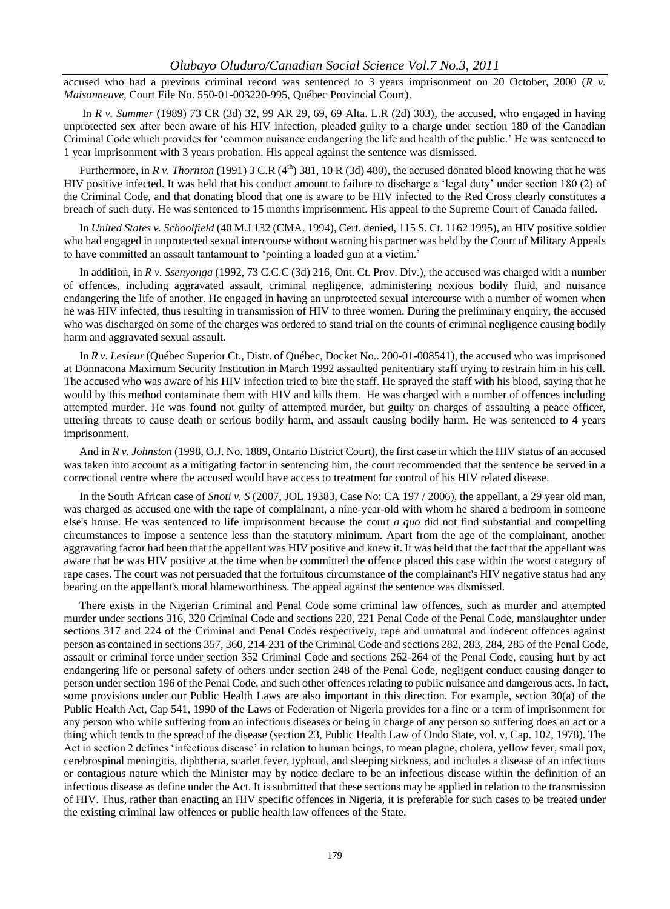accused who had a previous criminal record was sentenced to 3 years imprisonment on 20 October, 2000 (*R v. Maisonneuve*, Court File No. 550-01-003220-995, Québec Provincial Court).

In *R v. Summer* (1989) 73 CR (3d) 32, 99 AR 29, 69, 69 Alta. L.R (2d) 303)*,* the accused, who engaged in having unprotected sex after been aware of his HIV infection, pleaded guilty to a charge under section 180 of the Canadian Criminal Code which provides for "common nuisance endangering the life and health of the public." He was sentenced to 1 year imprisonment with 3 years probation. His appeal against the sentence was dismissed.

Furthermore, in *R v. Thornton* (1991) 3 C.R ( $4<sup>th</sup>$ ) 381, 10 R (3d) 480), the accused donated blood knowing that he was HIV positive infected. It was held that his conduct amount to failure to discharge a "legal duty" under section 180 (2) of the Criminal Code, and that donating blood that one is aware to be HIV infected to the Red Cross clearly constitutes a breach of such duty. He was sentenced to 15 months imprisonment. His appeal to the Supreme Court of Canada failed.

In *United States v. Schoolfield* (40 M.J 132 (CMA. 1994), Cert. denied, 115 S. Ct. 1162 1995)*,* an HIV positive soldier who had engaged in unprotected sexual intercourse without warning his partner was held by the Court of Military Appeals to have committed an assault tantamount to 'pointing a loaded gun at a victim.'

In addition, in *R v. Ssenyonga* (1992, 73 C.C.C (3d) 216, Ont. Ct. Prov. Div.), the accused was charged with a number of offences, including aggravated assault, criminal negligence, administering noxious bodily fluid, and nuisance endangering the life of another. He engaged in having an unprotected sexual intercourse with a number of women when he was HIV infected, thus resulting in transmission of HIV to three women. During the preliminary enquiry, the accused who was discharged on some of the charges was ordered to stand trial on the counts of criminal negligence causing bodily harm and aggravated sexual assault.

In *R v. Lesieur* (Québec Superior Ct., Distr. of Québec, Docket No.. 200-01-008541), the accused who was imprisoned at Donnacona Maximum Security Institution in March 1992 assaulted penitentiary staff trying to restrain him in his cell. The accused who was aware of his HIV infection tried to bite the staff. He sprayed the staff with his blood, saying that he would by this method contaminate them with HIV and kills them. He was charged with a number of offences including attempted murder. He was found not guilty of attempted murder, but guilty on charges of assaulting a peace officer, uttering threats to cause death or serious bodily harm, and assault causing bodily harm. He was sentenced to 4 years imprisonment.

And in *R v. Johnston* (1998, O.J. No. 1889, Ontario District Court)*,* the first case in which the HIV status of an accused was taken into account as a mitigating factor in sentencing him, the court recommended that the sentence be served in a correctional centre where the accused would have access to treatment for control of his HIV related disease.

In the South African case of *Snoti v. S* (2007, JOL 19383, Case No: CA 197 / 2006)*,* the appellant, a 29 year old man, was charged as accused one with the rape of complainant, a nine-year-old with whom he shared a bedroom in someone else's house. He was sentenced to life imprisonment because the court *a quo* did not find substantial and compelling circumstances to impose a sentence less than the statutory minimum. Apart from the age of the complainant, another aggravating factor had been that the appellant was HIV positive and knew it. It was held that the fact that the appellant was aware that he was HIV positive at the time when he committed the offence placed this case within the worst category of rape cases. The court was not persuaded that the fortuitous circumstance of the complainant's HIV negative status had any bearing on the appellant's moral blameworthiness. The appeal against the sentence was dismissed.

There exists in the Nigerian Criminal and Penal Code some criminal law offences, such as murder and attempted murder under sections 316, 320 Criminal Code and sections 220, 221 Penal Code of the Penal Code, manslaughter under sections 317 and 224 of the Criminal and Penal Codes respectively, rape and unnatural and indecent offences against person as contained in sections 357, 360, 214-231 of the Criminal Code and sections 282, 283, 284, 285 of the Penal Code, assault or criminal force under section 352 Criminal Code and sections 262-264 of the Penal Code, causing hurt by act endangering life or personal safety of others under section 248 of the Penal Code, negligent conduct causing danger to person under section 196 of the Penal Code, and such other offences relating to public nuisance and dangerous acts. In fact, some provisions under our Public Health Laws are also important in this direction. For example, section 30(a) of the Public Health Act, Cap 541, 1990 of the Laws of Federation of Nigeria provides for a fine or a term of imprisonment for any person who while suffering from an infectious diseases or being in charge of any person so suffering does an act or a thing which tends to the spread of the disease (section 23, Public Health Law of Ondo State, vol. v, Cap. 102, 1978). The Act in section 2 defines "infectious disease" in relation to human beings, to mean plague, cholera, yellow fever, small pox, cerebrospinal meningitis, diphtheria, scarlet fever, typhoid, and sleeping sickness, and includes a disease of an infectious or contagious nature which the Minister may by notice declare to be an infectious disease within the definition of an infectious disease as define under the Act. It is submitted that these sections may be applied in relation to the transmission of HIV. Thus, rather than enacting an HIV specific offences in Nigeria, it is preferable for such cases to be treated under the existing criminal law offences or public health law offences of the State.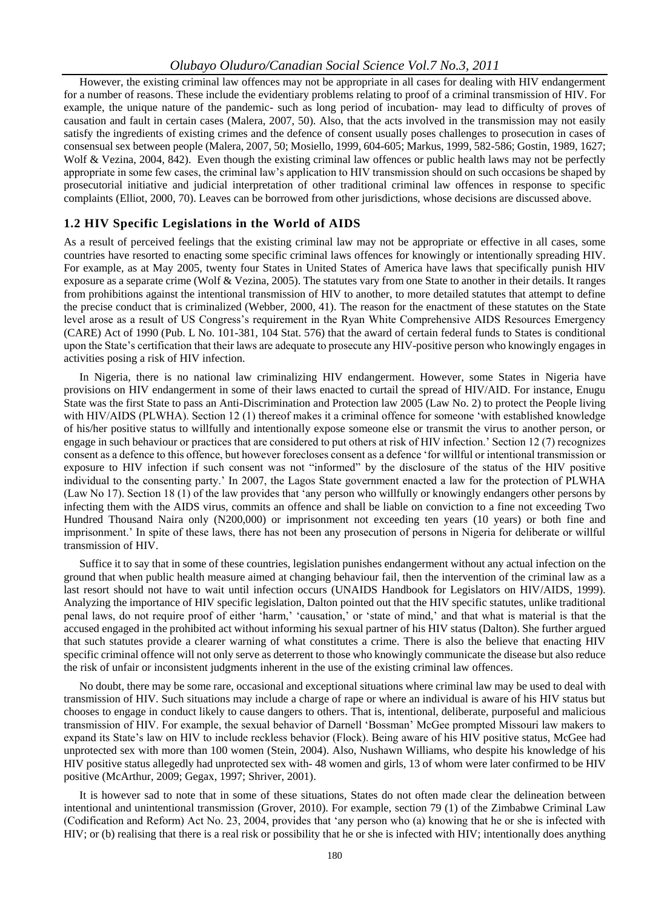However, the existing criminal law offences may not be appropriate in all cases for dealing with HIV endangerment for a number of reasons. These include the evidentiary problems relating to proof of a criminal transmission of HIV. For example, the unique nature of the pandemic- such as long period of incubation- may lead to difficulty of proves of causation and fault in certain cases (Malera, 2007, 50). Also, that the acts involved in the transmission may not easily satisfy the ingredients of existing crimes and the defence of consent usually poses challenges to prosecution in cases of consensual sex between people (Malera, 2007, 50; Mosiello, 1999, 604-605; Markus, 1999, 582-586; Gostin, 1989, 1627; Wolf & Vezina, 2004, 842). Even though the existing criminal law offences or public health laws may not be perfectly appropriate in some few cases, the criminal law"s application to HIV transmission should on such occasions be shaped by prosecutorial initiative and judicial interpretation of other traditional criminal law offences in response to specific complaints (Elliot, 2000, 70). Leaves can be borrowed from other jurisdictions, whose decisions are discussed above.

#### **1.2 HIV Specific Legislations in the World of AIDS**

As a result of perceived feelings that the existing criminal law may not be appropriate or effective in all cases, some countries have resorted to enacting some specific criminal laws offences for knowingly or intentionally spreading HIV. For example, as at May 2005, twenty four States in United States of America have laws that specifically punish HIV exposure as a separate crime (Wolf & Vezina, 2005). The statutes vary from one State to another in their details. It ranges from prohibitions against the intentional transmission of HIV to another, to more detailed statutes that attempt to define the precise conduct that is criminalized (Webber, 2000, 41). The reason for the enactment of these statutes on the State level arose as a result of US Congress"s requirement in the Ryan White Comprehensive AIDS Resources Emergency (CARE) Act of 1990 (Pub. L No. 101-381, 104 Stat. 576) that the award of certain federal funds to States is conditional upon the State"s certification that their laws are adequate to prosecute any HIV-positive person who knowingly engages in activities posing a risk of HIV infection.

In Nigeria, there is no national law criminalizing HIV endangerment. However, some States in Nigeria have provisions on HIV endangerment in some of their laws enacted to curtail the spread of HIV/AID. For instance, Enugu State was the first State to pass an Anti-Discrimination and Protection law 2005 (Law No. 2) to protect the People living with HIV/AIDS (PLWHA). Section 12 (1) thereof makes it a criminal offence for someone 'with established knowledge of his/her positive status to willfully and intentionally expose someone else or transmit the virus to another person, or engage in such behaviour or practices that are considered to put others at risk of HIV infection." Section 12 (7) recognizes consent as a defence to this offence, but however forecloses consent as a defence "for willful or intentional transmission or exposure to HIV infection if such consent was not "informed" by the disclosure of the status of the HIV positive individual to the consenting party." In 2007, the Lagos State government enacted a law for the protection of PLWHA (Law No 17). Section 18 (1) of the law provides that "any person who willfully or knowingly endangers other persons by infecting them with the AIDS virus, commits an offence and shall be liable on conviction to a fine not exceeding Two Hundred Thousand Naira only (N200,000) or imprisonment not exceeding ten years (10 years) or both fine and imprisonment." In spite of these laws, there has not been any prosecution of persons in Nigeria for deliberate or willful transmission of HIV.

Suffice it to say that in some of these countries, legislation punishes endangerment without any actual infection on the ground that when public health measure aimed at changing behaviour fail, then the intervention of the criminal law as a last resort should not have to wait until infection occurs (UNAIDS Handbook for Legislators on HIV/AIDS, 1999). Analyzing the importance of HIV specific legislation, Dalton pointed out that the HIV specific statutes, unlike traditional penal laws, do not require proof of either "harm," "causation," or "state of mind," and that what is material is that the accused engaged in the prohibited act without informing his sexual partner of his HIV status (Dalton). She further argued that such statutes provide a clearer warning of what constitutes a crime. There is also the believe that enacting HIV specific criminal offence will not only serve as deterrent to those who knowingly communicate the disease but also reduce the risk of unfair or inconsistent judgments inherent in the use of the existing criminal law offences.

No doubt, there may be some rare, occasional and exceptional situations where criminal law may be used to deal with transmission of HIV. Such situations may include a charge of rape or where an individual is aware of his HIV status but chooses to engage in conduct likely to cause dangers to others. That is, intentional, deliberate, purposeful and malicious transmission of HIV. For example, the sexual behavior of Darnell "Bossman" McGee prompted Missouri law makers to expand its State's law on HIV to include reckless behavior (Flock). Being aware of his HIV positive status, McGee had unprotected sex with more than 100 women (Stein, 2004). Also, Nushawn Williams, who despite his knowledge of his HIV positive status allegedly had unprotected sex with- 48 women and girls, 13 of whom were later confirmed to be HIV positive (McArthur, 2009; Gegax, 1997; Shriver, 2001).

It is however sad to note that in some of these situations, States do not often made clear the delineation between intentional and unintentional transmission (Grover, 2010). For example, section 79 (1) of the Zimbabwe Criminal Law (Codification and Reform) Act No. 23, 2004, provides that "any person who (a) knowing that he or she is infected with HIV; or (b) realising that there is a real risk or possibility that he or she is infected with HIV; intentionally does anything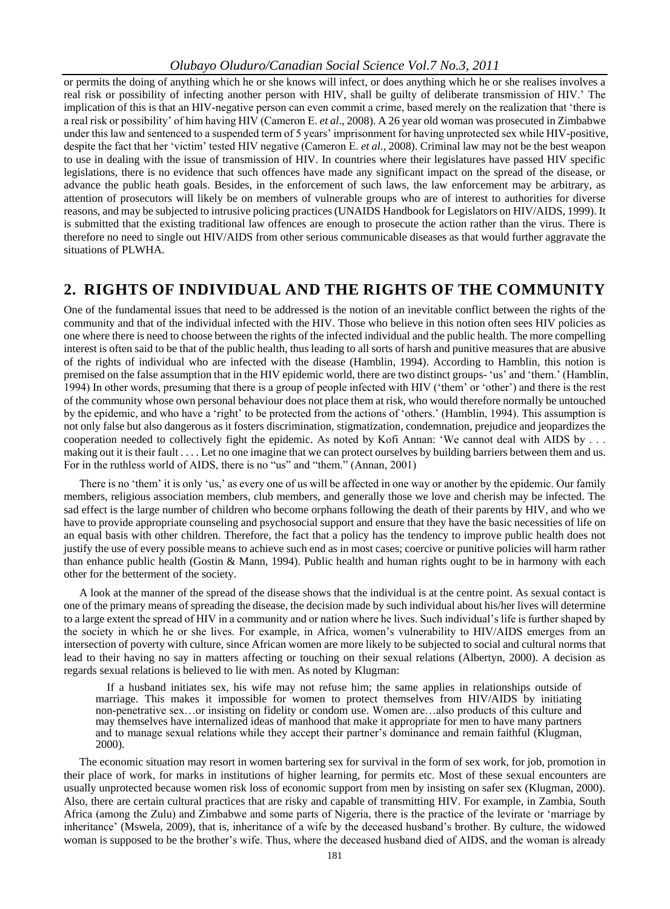or permits the doing of anything which he or she knows will infect, or does anything which he or she realises involves a real risk or possibility of infecting another person with HIV, shall be guilty of deliberate transmission of HIV." The implication of this is that an HIV-negative person can even commit a crime, based merely on the realization that "there is a real risk or possibility" of him having HIV (Cameron E. *et al*., 2008). A 26 year old woman was prosecuted in Zimbabwe under this law and sentenced to a suspended term of 5 years' imprisonment for having unprotected sex while HIV-positive, despite the fact that her "victim" tested HIV negative (Cameron E. *et al*., 2008). Criminal law may not be the best weapon to use in dealing with the issue of transmission of HIV. In countries where their legislatures have passed HIV specific legislations, there is no evidence that such offences have made any significant impact on the spread of the disease, or advance the public heath goals. Besides, in the enforcement of such laws, the law enforcement may be arbitrary, as attention of prosecutors will likely be on members of vulnerable groups who are of interest to authorities for diverse reasons, and may be subjected to intrusive policing practices (UNAIDS Handbook for Legislators on HIV/AIDS, 1999). It is submitted that the existing traditional law offences are enough to prosecute the action rather than the virus. There is therefore no need to single out HIV/AIDS from other serious communicable diseases as that would further aggravate the situations of PLWHA.

### **2. RIGHTS OF INDIVIDUAL AND THE RIGHTS OF THE COMMUNITY**

One of the fundamental issues that need to be addressed is the notion of an inevitable conflict between the rights of the community and that of the individual infected with the HIV. Those who believe in this notion often sees HIV policies as one where there is need to choose between the rights of the infected individual and the public health. The more compelling interest is often said to be that of the public health, thus leading to all sorts of harsh and punitive measures that are abusive of the rights of individual who are infected with the disease (Hamblin, 1994). According to Hamblin, this notion is premised on the false assumption that in the HIV epidemic world, there are two distinct groups- "us" and "them." (Hamblin, 1994) In other words, presuming that there is a group of people infected with HIV ("them" or "other") and there is the rest of the community whose own personal behaviour does not place them at risk, who would therefore normally be untouched by the epidemic, and who have a "right" to be protected from the actions of "others." (Hamblin, 1994). This assumption is not only false but also dangerous as it fosters discrimination, stigmatization, condemnation, prejudice and jeopardizes the cooperation needed to collectively fight the epidemic. As noted by Kofi Annan: "We cannot deal with AIDS by . . . making out it is their fault . . . . Let no one imagine that we can protect ourselves by building barriers between them and us. For in the ruthless world of AIDS, there is no "us" and "them." (Annan, 2001)

There is no 'them' it is only 'us,' as every one of us will be affected in one way or another by the epidemic. Our family members, religious association members, club members, and generally those we love and cherish may be infected. The sad effect is the large number of children who become orphans following the death of their parents by HIV, and who we have to provide appropriate counseling and psychosocial support and ensure that they have the basic necessities of life on an equal basis with other children. Therefore, the fact that a policy has the tendency to improve public health does not justify the use of every possible means to achieve such end as in most cases; coercive or punitive policies will harm rather than enhance public health (Gostin & Mann, 1994). Public health and human rights ought to be in harmony with each other for the betterment of the society.

A look at the manner of the spread of the disease shows that the individual is at the centre point. As sexual contact is one of the primary means of spreading the disease, the decision made by such individual about his/her lives will determine to a large extent the spread of HIV in a community and or nation where he lives. Such individual"s life is further shaped by the society in which he or she lives. For example, in Africa, women"s vulnerability to HIV/AIDS emerges from an intersection of poverty with culture, since African women are more likely to be subjected to social and cultural norms that lead to their having no say in matters affecting or touching on their sexual relations (Albertyn, 2000). A decision as regards sexual relations is believed to lie with men. As noted by Klugman:

If a husband initiates sex, his wife may not refuse him; the same applies in relationships outside of marriage. This makes it impossible for women to protect themselves from HIV/AIDS by initiating non-penetrative sex…or insisting on fidelity or condom use. Women are…also products of this culture and may themselves have internalized ideas of manhood that make it appropriate for men to have many partners and to manage sexual relations while they accept their partner"s dominance and remain faithful (Klugman, 2000).

The economic situation may resort in women bartering sex for survival in the form of sex work, for job, promotion in their place of work, for marks in institutions of higher learning, for permits etc. Most of these sexual encounters are usually unprotected because women risk loss of economic support from men by insisting on safer sex (Klugman, 2000). Also, there are certain cultural practices that are risky and capable of transmitting HIV. For example, in Zambia, South Africa (among the Zulu) and Zimbabwe and some parts of Nigeria, there is the practice of the levirate or "marriage by inheritance" (Mswela, 2009), that is, inheritance of a wife by the deceased husband"s brother. By culture, the widowed woman is supposed to be the brother"s wife. Thus, where the deceased husband died of AIDS, and the woman is already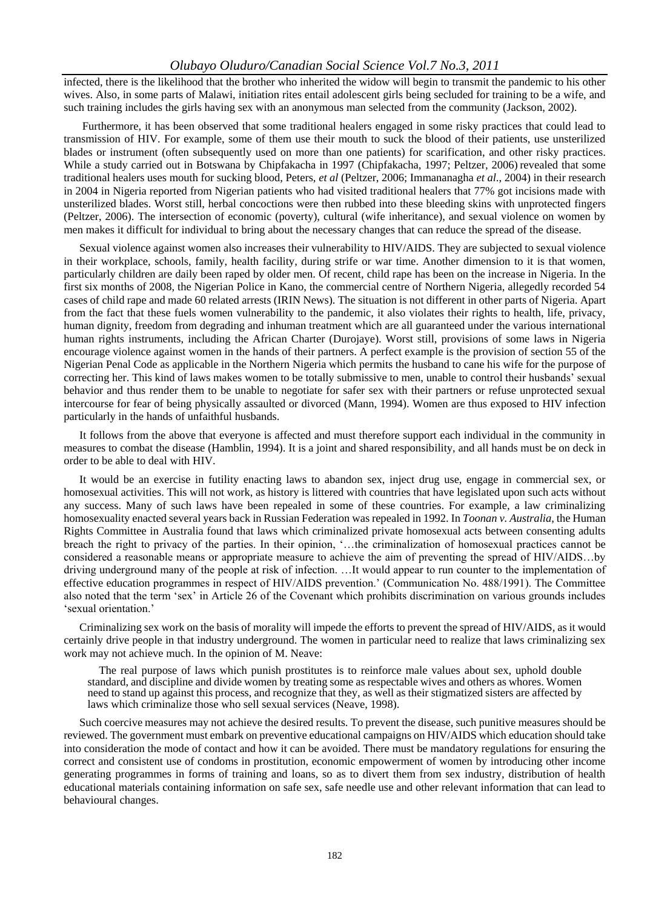infected, there is the likelihood that the brother who inherited the widow will begin to transmit the pandemic to his other wives. Also, in some parts of Malawi, initiation rites entail adolescent girls being secluded for training to be a wife, and such training includes the girls having sex with an anonymous man selected from the community (Jackson, 2002).

Furthermore, it has been observed that some traditional healers engaged in some risky practices that could lead to transmission of HIV. For example, some of them use their mouth to suck the blood of their patients, use unsterilized blades or instrument (often subsequently used on more than one patients) for scarification, and other risky practices. While a study carried out in Botswana by Chipfakacha in 1997 (Chipfakacha, 1997; Peltzer, 2006) revealed that some traditional healers uses mouth for sucking blood, Peters, *et al* (Peltzer, 2006; Immananagha *et al*., 2004) in their research in 2004 in Nigeria reported from Nigerian patients who had visited traditional healers that 77% got incisions made with unsterilized blades. Worst still, herbal concoctions were then rubbed into these bleeding skins with unprotected fingers (Peltzer, 2006). The intersection of economic (poverty), cultural (wife inheritance), and sexual violence on women by men makes it difficult for individual to bring about the necessary changes that can reduce the spread of the disease.

Sexual violence against women also increases their vulnerability to HIV/AIDS. They are subjected to sexual violence in their workplace, schools, family, health facility, during strife or war time. Another dimension to it is that women, particularly children are daily been raped by older men. Of recent, child rape has been on the increase in Nigeria. In the first six months of 2008, the Nigerian Police in Kano, the commercial centre of Northern Nigeria, allegedly recorded 54 cases of child rape and made 60 related arrests (IRIN News). The situation is not different in other parts of Nigeria. Apart from the fact that these fuels women vulnerability to the pandemic, it also violates their rights to health, life, privacy, human dignity, freedom from degrading and inhuman treatment which are all guaranteed under the various international human rights instruments, including the African Charter (Durojaye). Worst still, provisions of some laws in Nigeria encourage violence against women in the hands of their partners. A perfect example is the provision of section 55 of the Nigerian Penal Code as applicable in the Northern Nigeria which permits the husband to cane his wife for the purpose of correcting her. This kind of laws makes women to be totally submissive to men, unable to control their husbands" sexual behavior and thus render them to be unable to negotiate for safer sex with their partners or refuse unprotected sexual intercourse for fear of being physically assaulted or divorced (Mann, 1994). Women are thus exposed to HIV infection particularly in the hands of unfaithful husbands.

It follows from the above that everyone is affected and must therefore support each individual in the community in measures to combat the disease (Hamblin, 1994). It is a joint and shared responsibility, and all hands must be on deck in order to be able to deal with HIV.

It would be an exercise in futility enacting laws to abandon sex, inject drug use, engage in commercial sex, or homosexual activities. This will not work, as history is littered with countries that have legislated upon such acts without any success. Many of such laws have been repealed in some of these countries. For example, a law criminalizing homosexuality enacted several years back in Russian Federation was repealed in 1992. In *Toonan v. Australia*, the Human Rights Committee in Australia found that laws which criminalized private homosexual acts between consenting adults breach the right to privacy of the parties. In their opinion, "…the criminalization of homosexual practices cannot be considered a reasonable means or appropriate measure to achieve the aim of preventing the spread of HIV/AIDS…by driving underground many of the people at risk of infection. …It would appear to run counter to the implementation of effective education programmes in respect of HIV/AIDS prevention." (Communication No. 488/1991). The Committee also noted that the term "sex" in Article 26 of the Covenant which prohibits discrimination on various grounds includes 'sexual orientation.'

Criminalizing sex work on the basis of morality will impede the efforts to prevent the spread of HIV/AIDS, as it would certainly drive people in that industry underground. The women in particular need to realize that laws criminalizing sex work may not achieve much. In the opinion of M. Neave:

The real purpose of laws which punish prostitutes is to reinforce male values about sex, uphold double standard, and discipline and divide women by treating some as respectable wives and others as whores. Women need to stand up against this process, and recognize that they, as well as their stigmatized sisters are affected by laws which criminalize those who sell sexual services (Neave, 1998).

Such coercive measures may not achieve the desired results. To prevent the disease, such punitive measures should be reviewed. The government must embark on preventive educational campaigns on HIV/AIDS which education should take into consideration the mode of contact and how it can be avoided. There must be mandatory regulations for ensuring the correct and consistent use of condoms in prostitution, economic empowerment of women by introducing other income generating programmes in forms of training and loans, so as to divert them from sex industry, distribution of health educational materials containing information on safe sex, safe needle use and other relevant information that can lead to behavioural changes.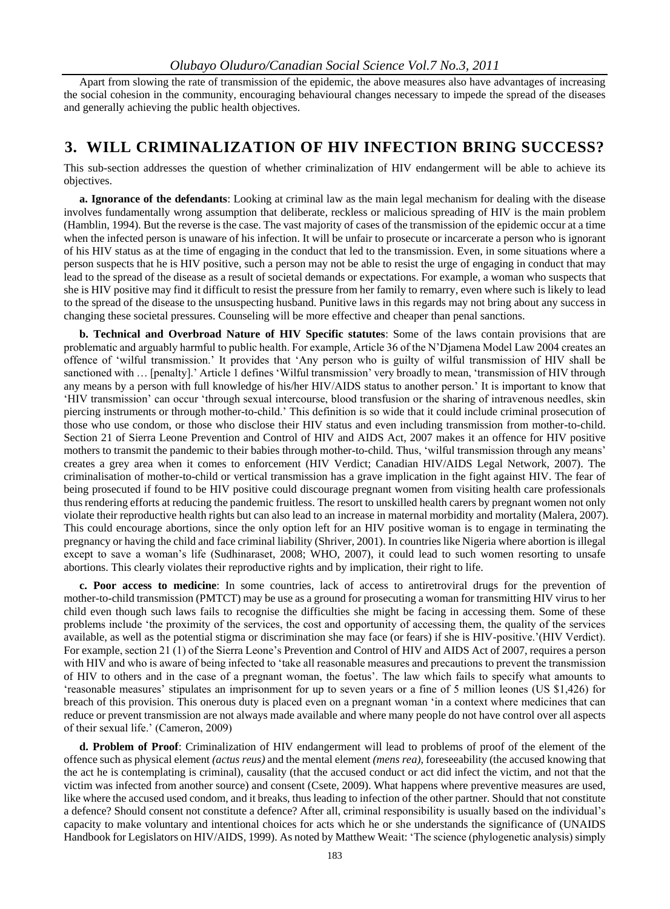Apart from slowing the rate of transmission of the epidemic, the above measures also have advantages of increasing the social cohesion in the community, encouraging behavioural changes necessary to impede the spread of the diseases and generally achieving the public health objectives.

### **3. WILL CRIMINALIZATION OF HIV INFECTION BRING SUCCESS?**

This sub-section addresses the question of whether criminalization of HIV endangerment will be able to achieve its objectives.

**a. Ignorance of the defendants**: Looking at criminal law as the main legal mechanism for dealing with the disease involves fundamentally wrong assumption that deliberate, reckless or malicious spreading of HIV is the main problem (Hamblin, 1994). But the reverse is the case. The vast majority of cases of the transmission of the epidemic occur at a time when the infected person is unaware of his infection. It will be unfair to prosecute or incarcerate a person who is ignorant of his HIV status as at the time of engaging in the conduct that led to the transmission. Even, in some situations where a person suspects that he is HIV positive, such a person may not be able to resist the urge of engaging in conduct that may lead to the spread of the disease as a result of societal demands or expectations. For example, a woman who suspects that she is HIV positive may find it difficult to resist the pressure from her family to remarry, even where such is likely to lead to the spread of the disease to the unsuspecting husband. Punitive laws in this regards may not bring about any success in changing these societal pressures. Counseling will be more effective and cheaper than penal sanctions.

**b. Technical and Overbroad Nature of HIV Specific statutes**: Some of the laws contain provisions that are problematic and arguably harmful to public health. For example, Article 36 of the N"Djamena Model Law 2004 creates an offence of "wilful transmission." It provides that "Any person who is guilty of wilful transmission of HIV shall be sanctioned with ... [penalty].' Article 1 defines 'Wilful transmission' very broadly to mean, 'transmission of HIV through any means by a person with full knowledge of his/her HIV/AIDS status to another person." It is important to know that "HIV transmission" can occur "through sexual intercourse, blood transfusion or the sharing of intravenous needles, skin piercing instruments or through mother-to-child." This definition is so wide that it could include criminal prosecution of those who use condom, or those who disclose their HIV status and even including transmission from mother-to-child. Section 21 of Sierra Leone Prevention and Control of HIV and AIDS Act, 2007 makes it an offence for HIV positive mothers to transmit the pandemic to their babies through mother-to-child. Thus, 'wilful transmission through any means' creates a grey area when it comes to enforcement (HIV Verdict; Canadian HIV/AIDS Legal Network, 2007). The criminalisation of mother-to-child or vertical transmission has a grave implication in the fight against HIV. The fear of being prosecuted if found to be HIV positive could discourage pregnant women from visiting health care professionals thus rendering efforts at reducing the pandemic fruitless. The resort to unskilled health carers by pregnant women not only violate their reproductive health rights but can also lead to an increase in maternal morbidity and mortality (Malera, 2007). This could encourage abortions, since the only option left for an HIV positive woman is to engage in terminating the pregnancy or having the child and face criminal liability (Shriver, 2001). In countries like Nigeria where abortion is illegal except to save a woman"s life (Sudhinaraset, 2008; WHO, 2007), it could lead to such women resorting to unsafe abortions. This clearly violates their reproductive rights and by implication, their right to life.

**c. Poor access to medicine**: In some countries, lack of access to antiretroviral drugs for the prevention of mother-to-child transmission (PMTCT) may be use as a ground for prosecuting a woman for transmitting HIV virus to her child even though such laws fails to recognise the difficulties she might be facing in accessing them. Some of these problems include "the proximity of the services, the cost and opportunity of accessing them, the quality of the services available, as well as the potential stigma or discrimination she may face (or fears) if she is HIV-positive."(HIV Verdict). For example, section 21 (1) of the Sierra Leone"s Prevention and Control of HIV and AIDS Act of 2007, requires a person with HIV and who is aware of being infected to 'take all reasonable measures and precautions to prevent the transmission of HIV to others and in the case of a pregnant woman, the foetus". The law which fails to specify what amounts to "reasonable measures" stipulates an imprisonment for up to seven years or a fine of 5 million leones (US \$1,426) for breach of this provision. This onerous duty is placed even on a pregnant woman "in a context where medicines that can reduce or prevent transmission are not always made available and where many people do not have control over all aspects of their sexual life." (Cameron, 2009)

**d. Problem of Proof**: Criminalization of HIV endangerment will lead to problems of proof of the element of the offence such as physical element *(actus reus)* and the mental element *(mens rea),* foreseeability (the accused knowing that the act he is contemplating is criminal), causality (that the accused conduct or act did infect the victim, and not that the victim was infected from another source) and consent (Csete, 2009). What happens where preventive measures are used, like where the accused used condom, and it breaks, thus leading to infection of the other partner. Should that not constitute a defence? Should consent not constitute a defence? After all, criminal responsibility is usually based on the individual"s capacity to make voluntary and intentional choices for acts which he or she understands the significance of (UNAIDS Handbook for Legislators on HIV/AIDS, 1999). As noted by Matthew Weait: "The science (phylogenetic analysis) simply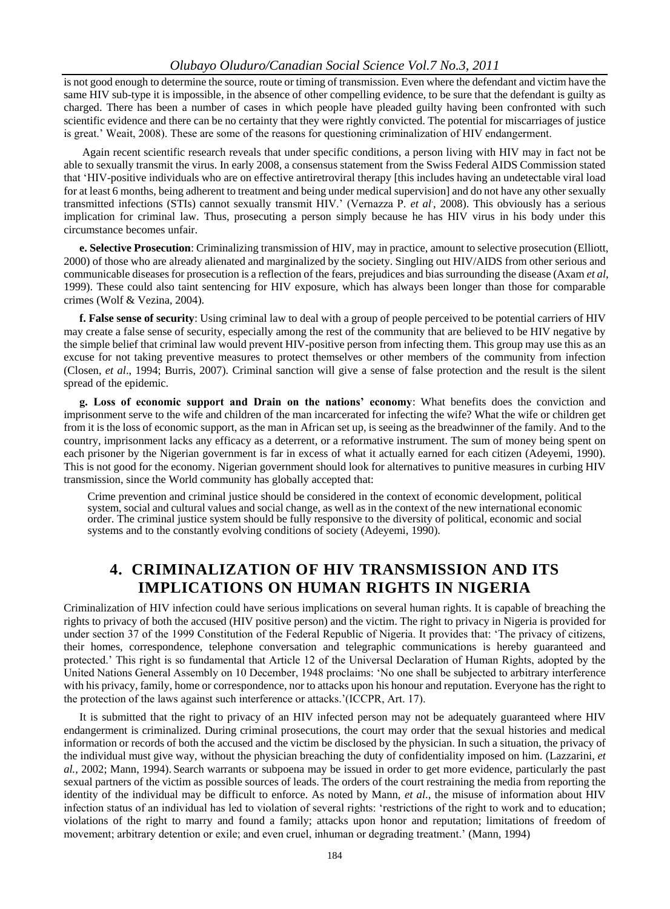is not good enough to determine the source, route or timing of transmission. Even where the defendant and victim have the same HIV sub-type it is impossible, in the absence of other compelling evidence, to be sure that the defendant is guilty as charged. There has been a number of cases in which people have pleaded guilty having been confronted with such scientific evidence and there can be no certainty that they were rightly convicted. The potential for miscarriages of justice is great." Weait, 2008). These are some of the reasons for questioning criminalization of HIV endangerment.

Again recent scientific research reveals that under specific conditions, a person living with HIV may in fact not be able to sexually transmit the virus. In early 2008, a consensus statement from the Swiss Federal AIDS Commission stated that "HIV-positive individuals who are on effective antiretroviral therapy [this includes having an undetectable viral load for at least 6 months, being adherent to treatment and being under medical supervision] and do not have any other sexually transmitted infections (STIs) cannot sexually transmit HIV." (Vernazza P. *et al*. , 2008). This obviously has a serious implication for criminal law. Thus, prosecuting a person simply because he has HIV virus in his body under this circumstance becomes unfair.

**e. Selective Prosecution**: Criminalizing transmission of HIV, may in practice, amount to selective prosecution (Elliott, 2000) of those who are already alienated and marginalized by the society. Singling out HIV/AIDS from other serious and communicable diseases for prosecution is a reflection of the fears, prejudices and bias surrounding the disease (Axam *et al*, 1999). These could also taint sentencing for HIV exposure, which has always been longer than those for comparable crimes (Wolf & Vezina, 2004).

**f. False sense of security**: Using criminal law to deal with a group of people perceived to be potential carriers of HIV may create a false sense of security, especially among the rest of the community that are believed to be HIV negative by the simple belief that criminal law would prevent HIV-positive person from infecting them. This group may use this as an excuse for not taking preventive measures to protect themselves or other members of the community from infection (Closen, *et al*., 1994; Burris, 2007). Criminal sanction will give a sense of false protection and the result is the silent spread of the epidemic.

**g. Loss of economic support and Drain on the nations' economy**: What benefits does the conviction and imprisonment serve to the wife and children of the man incarcerated for infecting the wife? What the wife or children get from it is the loss of economic support, as the man in African set up, is seeing as the breadwinner of the family. And to the country, imprisonment lacks any efficacy as a deterrent, or a reformative instrument. The sum of money being spent on each prisoner by the Nigerian government is far in excess of what it actually earned for each citizen (Adeyemi, 1990). This is not good for the economy. Nigerian government should look for alternatives to punitive measures in curbing HIV transmission, since the World community has globally accepted that:

Crime prevention and criminal justice should be considered in the context of economic development, political system, social and cultural values and social change, as well as in the context of the new international economic order. The criminal justice system should be fully responsive to the diversity of political, economic and social systems and to the constantly evolving conditions of society (Adeyemi, 1990).

### **4. CRIMINALIZATION OF HIV TRANSMISSION AND ITS IMPLICATIONS ON HUMAN RIGHTS IN NIGERIA**

Criminalization of HIV infection could have serious implications on several human rights. It is capable of breaching the rights to privacy of both the accused (HIV positive person) and the victim. The right to privacy in Nigeria is provided for under section 37 of the 1999 Constitution of the Federal Republic of Nigeria. It provides that: "The privacy of citizens, their homes, correspondence, telephone conversation and telegraphic communications is hereby guaranteed and protected." This right is so fundamental that Article 12 of the Universal Declaration of Human Rights, adopted by the United Nations General Assembly on 10 December, 1948 proclaims: "No one shall be subjected to arbitrary interference with his privacy, family, home or correspondence, nor to attacks upon his honour and reputation. Everyone has the right to the protection of the laws against such interference or attacks."(ICCPR, Art. 17).

It is submitted that the right to privacy of an HIV infected person may not be adequately guaranteed where HIV endangerment is criminalized. During criminal prosecutions, the court may order that the sexual histories and medical information or records of both the accused and the victim be disclosed by the physician. In such a situation, the privacy of the individual must give way, without the physician breaching the duty of confidentiality imposed on him. (Lazzarini, *et al.*, 2002; Mann, 1994). Search warrants or subpoena may be issued in order to get more evidence, particularly the past sexual partners of the victim as possible sources of leads. The orders of the court restraining the media from reporting the identity of the individual may be difficult to enforce. As noted by Mann, *et al*., the misuse of information about HIV infection status of an individual has led to violation of several rights: "restrictions of the right to work and to education; violations of the right to marry and found a family; attacks upon honor and reputation; limitations of freedom of movement; arbitrary detention or exile; and even cruel, inhuman or degrading treatment." (Mann, 1994)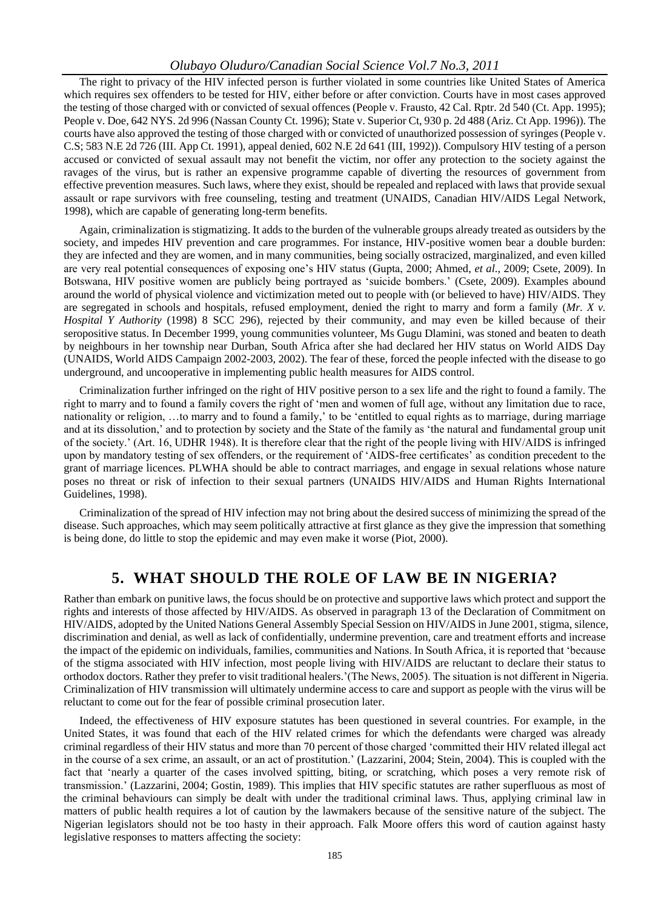The right to privacy of the HIV infected person is further violated in some countries like United States of America which requires sex offenders to be tested for HIV, either before or after conviction. Courts have in most cases approved the testing of those charged with or convicted of sexual offences (People v. Frausto, 42 Cal. Rptr. 2d 540 (Ct. App. 1995); People v. Doe, 642 NYS. 2d 996 (Nassan County Ct. 1996); State v. Superior Ct, 930 p. 2d 488 (Ariz. Ct App. 1996)). The courts have also approved the testing of those charged with or convicted of unauthorized possession of syringes (People v. C.S; 583 N.E 2d 726 (III. App Ct. 1991), appeal denied, 602 N.E 2d 641 (III, 1992)). Compulsory HIV testing of a person accused or convicted of sexual assault may not benefit the victim, nor offer any protection to the society against the ravages of the virus, but is rather an expensive programme capable of diverting the resources of government from effective prevention measures. Such laws, where they exist, should be repealed and replaced with laws that provide sexual assault or rape survivors with free counseling, testing and treatment (UNAIDS, Canadian HIV/AIDS Legal Network, 1998), which are capable of generating long-term benefits.

Again, criminalization is stigmatizing. It adds to the burden of the vulnerable groups already treated as outsiders by the society, and impedes HIV prevention and care programmes. For instance, HIV-positive women bear a double burden: they are infected and they are women, and in many communities, being socially ostracized, marginalized, and even killed are very real potential consequences of exposing one"s HIV status (Gupta, 2000; Ahmed, *et al*., 2009; Csete, 2009). In Botswana, HIV positive women are publicly being portrayed as "suicide bombers." (Csete, 2009). Examples abound around the world of physical violence and victimization meted out to people with (or believed to have) HIV/AIDS. They are segregated in schools and hospitals, refused employment, denied the right to marry and form a family (*Mr. X v. Hospital Y Authority* (1998) 8 SCC 296), rejected by their community, and may even be killed because of their seropositive status. In December 1999, young communities volunteer, Ms Gugu Dlamini, was stoned and beaten to death by neighbours in her township near Durban, South Africa after she had declared her HIV status on World AIDS Day (UNAIDS, World AIDS Campaign 2002-2003, 2002). The fear of these, forced the people infected with the disease to go underground, and uncooperative in implementing public health measures for AIDS control.

Criminalization further infringed on the right of HIV positive person to a sex life and the right to found a family. The right to marry and to found a family covers the right of "men and women of full age, without any limitation due to race, nationality or religion, ...to marry and to found a family,' to be 'entitled to equal rights as to marriage, during marriage and at its dissolution," and to protection by society and the State of the family as "the natural and fundamental group unit of the society." (Art. 16, UDHR 1948). It is therefore clear that the right of the people living with HIV/AIDS is infringed upon by mandatory testing of sex offenders, or the requirement of 'AIDS-free certificates' as condition precedent to the grant of marriage licences. PLWHA should be able to contract marriages, and engage in sexual relations whose nature poses no threat or risk of infection to their sexual partners (UNAIDS HIV/AIDS and Human Rights International Guidelines, 1998).

Criminalization of the spread of HIV infection may not bring about the desired success of minimizing the spread of the disease. Such approaches, which may seem politically attractive at first glance as they give the impression that something is being done, do little to stop the epidemic and may even make it worse (Piot, 2000).

### **5. WHAT SHOULD THE ROLE OF LAW BE IN NIGERIA?**

Rather than embark on punitive laws, the focus should be on protective and supportive laws which protect and support the rights and interests of those affected by HIV/AIDS. As observed in paragraph 13 of the Declaration of Commitment on HIV/AIDS, adopted by the United Nations General Assembly Special Session on HIV/AIDS in June 2001, stigma, silence, discrimination and denial, as well as lack of confidentially, undermine prevention, care and treatment efforts and increase the impact of the epidemic on individuals, families, communities and Nations. In South Africa, it is reported that "because of the stigma associated with HIV infection, most people living with HIV/AIDS are reluctant to declare their status to orthodox doctors. Rather they prefer to visit traditional healers."(The News, 2005). The situation is not different in Nigeria. Criminalization of HIV transmission will ultimately undermine access to care and support as people with the virus will be reluctant to come out for the fear of possible criminal prosecution later.

Indeed, the effectiveness of HIV exposure statutes has been questioned in several countries. For example, in the United States, it was found that each of the HIV related crimes for which the defendants were charged was already criminal regardless of their HIV status and more than 70 percent of those charged "committed their HIV related illegal act in the course of a sex crime, an assault, or an act of prostitution." (Lazzarini, 2004; Stein, 2004). This is coupled with the fact that "nearly a quarter of the cases involved spitting, biting, or scratching, which poses a very remote risk of transmission." (Lazzarini, 2004; Gostin, 1989). This implies that HIV specific statutes are rather superfluous as most of the criminal behaviours can simply be dealt with under the traditional criminal laws. Thus, applying criminal law in matters of public health requires a lot of caution by the lawmakers because of the sensitive nature of the subject. The Nigerian legislators should not be too hasty in their approach. Falk Moore offers this word of caution against hasty legislative responses to matters affecting the society: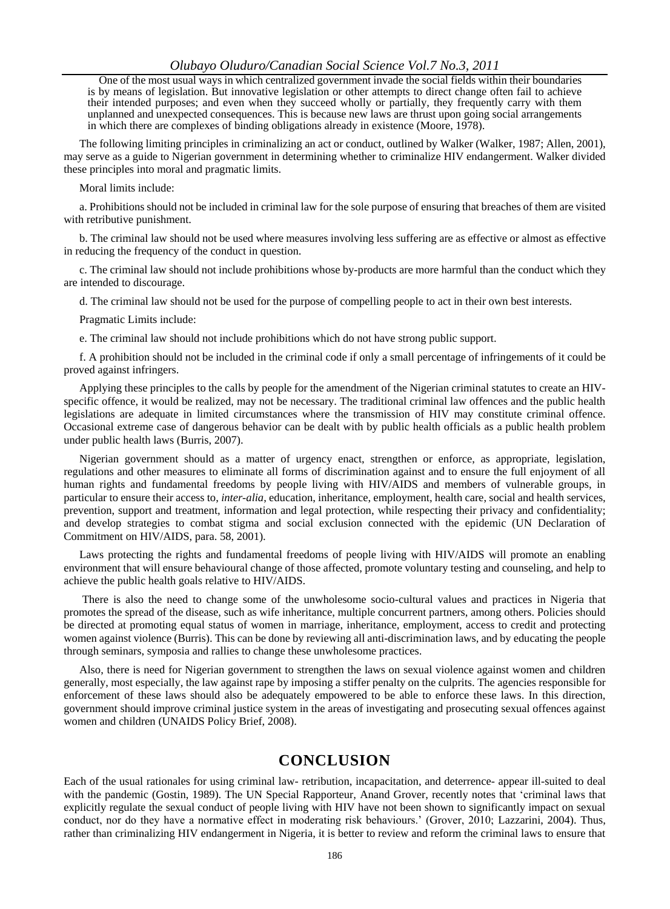One of the most usual ways in which centralized government invade the social fields within their boundaries is by means of legislation. But innovative legislation or other attempts to direct change often fail to achieve their intended purposes; and even when they succeed wholly or partially, they frequently carry with them unplanned and unexpected consequences. This is because new laws are thrust upon going social arrangements in which there are complexes of binding obligations already in existence (Moore, 1978).

The following limiting principles in criminalizing an act or conduct, outlined by Walker (Walker, 1987; Allen, 2001), may serve as a guide to Nigerian government in determining whether to criminalize HIV endangerment. Walker divided these principles into moral and pragmatic limits.

Moral limits include:

a. Prohibitions should not be included in criminal law for the sole purpose of ensuring that breaches of them are visited with retributive punishment.

b. The criminal law should not be used where measures involving less suffering are as effective or almost as effective in reducing the frequency of the conduct in question.

c. The criminal law should not include prohibitions whose by-products are more harmful than the conduct which they are intended to discourage.

d. The criminal law should not be used for the purpose of compelling people to act in their own best interests.

Pragmatic Limits include:

e. The criminal law should not include prohibitions which do not have strong public support.

f. A prohibition should not be included in the criminal code if only a small percentage of infringements of it could be proved against infringers.

Applying these principles to the calls by people for the amendment of the Nigerian criminal statutes to create an HIVspecific offence, it would be realized, may not be necessary. The traditional criminal law offences and the public health legislations are adequate in limited circumstances where the transmission of HIV may constitute criminal offence. Occasional extreme case of dangerous behavior can be dealt with by public health officials as a public health problem under public health laws (Burris, 2007).

Nigerian government should as a matter of urgency enact, strengthen or enforce, as appropriate, legislation, regulations and other measures to eliminate all forms of discrimination against and to ensure the full enjoyment of all human rights and fundamental freedoms by people living with HIV/AIDS and members of vulnerable groups, in particular to ensure their access to, *inter-alia*, education, inheritance, employment, health care, social and health services, prevention, support and treatment, information and legal protection, while respecting their privacy and confidentiality; and develop strategies to combat stigma and social exclusion connected with the epidemic (UN Declaration of Commitment on HIV/AIDS, para. 58, 2001).

Laws protecting the rights and fundamental freedoms of people living with HIV/AIDS will promote an enabling environment that will ensure behavioural change of those affected, promote voluntary testing and counseling, and help to achieve the public health goals relative to HIV/AIDS.

There is also the need to change some of the unwholesome socio-cultural values and practices in Nigeria that promotes the spread of the disease, such as wife inheritance, multiple concurrent partners, among others. Policies should be directed at promoting equal status of women in marriage, inheritance, employment, access to credit and protecting women against violence (Burris). This can be done by reviewing all anti-discrimination laws, and by educating the people through seminars, symposia and rallies to change these unwholesome practices.

Also, there is need for Nigerian government to strengthen the laws on sexual violence against women and children generally, most especially, the law against rape by imposing a stiffer penalty on the culprits. The agencies responsible for enforcement of these laws should also be adequately empowered to be able to enforce these laws. In this direction, government should improve criminal justice system in the areas of investigating and prosecuting sexual offences against women and children (UNAIDS Policy Brief, 2008).

### **CONCLUSION**

Each of the usual rationales for using criminal law- retribution, incapacitation, and deterrence- appear ill-suited to deal with the pandemic (Gostin, 1989). The UN Special Rapporteur, Anand Grover, recently notes that 'criminal laws that explicitly regulate the sexual conduct of people living with HIV have not been shown to significantly impact on sexual conduct, nor do they have a normative effect in moderating risk behaviours." (Grover, 2010; Lazzarini, 2004). Thus, rather than criminalizing HIV endangerment in Nigeria, it is better to review and reform the criminal laws to ensure that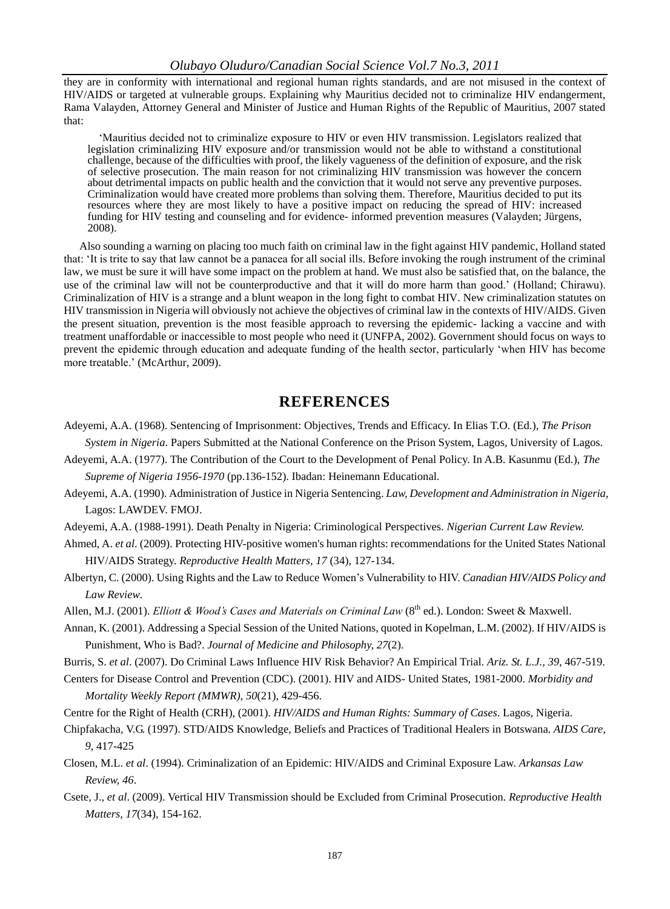they are in conformity with international and regional human rights standards, and are not misused in the context of HIV/AIDS or targeted at vulnerable groups. Explaining why Mauritius decided not to criminalize HIV endangerment, Rama Valayden, Attorney General and Minister of Justice and Human Rights of the Republic of Mauritius, 2007 stated that:

"Mauritius decided not to criminalize exposure to HIV or even HIV transmission. Legislators realized that legislation criminalizing HIV exposure and/or transmission would not be able to withstand a constitutional challenge, because of the difficulties with proof, the likely vagueness of the definition of exposure, and the risk of selective prosecution. The main reason for not criminalizing HIV transmission was however the concern about detrimental impacts on public health and the conviction that it would not serve any preventive purposes. Criminalization would have created more problems than solving them. Therefore, Mauritius decided to put its resources where they are most likely to have a positive impact on reducing the spread of HIV: increased funding for HIV testing and counseling and for evidence- informed prevention measures (Valayden; Jürgens, 2008).

Also sounding a warning on placing too much faith on criminal law in the fight against HIV pandemic, Holland stated that: "It is trite to say that law cannot be a panacea for all social ills. Before invoking the rough instrument of the criminal law, we must be sure it will have some impact on the problem at hand. We must also be satisfied that, on the balance, the use of the criminal law will not be counterproductive and that it will do more harm than good." (Holland; Chirawu). Criminalization of HIV is a strange and a blunt weapon in the long fight to combat HIV. New criminalization statutes on HIV transmission in Nigeria will obviously not achieve the objectives of criminal law in the contexts of HIV/AIDS. Given the present situation, prevention is the most feasible approach to reversing the epidemic- lacking a vaccine and with treatment unaffordable or inaccessible to most people who need it (UNFPA, 2002). Government should focus on ways to prevent the epidemic through education and adequate funding of the health sector, particularly "when HIV has become more treatable." (McArthur, 2009).

### **REFERENCES**

- Adeyemi, A.A. (1968). Sentencing of Imprisonment: Objectives, Trends and Efficacy. In Elias T.O. (Ed.), *The Prison*
- *System in Nigeria*. Papers Submitted at the National Conference on the Prison System, Lagos, University of Lagos. Adeyemi, A.A. (1977). The Contribution of the Court to the Development of Penal Policy. In A.B. Kasunmu (Ed.), *The*

*Supreme of Nigeria 1956-1970* (pp.136-152). Ibadan: Heinemann Educational.

- Adeyemi, A.A. (1990). Administration of Justice in Nigeria Sentencing. *Law, Development and Administration in Nigeria*, Lagos: LAWDEV. FMOJ.
- Adeyemi, A.A. (1988-1991). Death Penalty in Nigeria: Criminological Perspectives. *Nigerian Current Law Review.*
- Ahmed, A. *et al*. (2009). Protecting HIV-positive women's human rights: recommendations for the United States National HIV/AIDS Strategy. *Reproductive Health Matters, 17* (34), 127-134.
- Albertyn, C. (2000). Using Rights and the Law to Reduce Women"s Vulnerability to HIV. *Canadian HIV/AIDS Policy and Law Review*.
- Allen, M.J. (2001). *Elliott & Wood's Cases and Materials on Criminal Law* (8<sup>th</sup> ed.). London: Sweet & Maxwell.
- Annan, K. (2001). Addressing a Special Session of the United Nations, quoted in Kopelman, L.M. (2002). If HIV/AIDS is Punishment, Who is Bad?. *Journal of Medicine and Philosophy, 27*(2).

Burris, S. *et al*. (2007). Do Criminal Laws Influence HIV Risk Behavior? An Empirical Trial. *Ariz. St. L.J., 39*, 467-519.

Centers for Disease Control and Prevention (CDC). (2001). HIV and AIDS- United States, 1981-2000. *Morbidity and Mortality Weekly Report (MMWR), 50*(21), 429-456.

Centre for the Right of Health (CRH), (2001). *HIV/AIDS and Human Rights: Summary of Cases*. Lagos, Nigeria.

- Chipfakacha, V.G. (1997). STD/AIDS Knowledge, Beliefs and Practices of Traditional Healers in Botswana. *AIDS Care, 9*, 417-425
- Closen, M.L. *et al*. (1994). Criminalization of an Epidemic: HIV/AIDS and Criminal Exposure Law. *Arkansas Law Review, 46*.
- Csete, J., *et al*. (2009). Vertical HIV Transmission should be Excluded from Criminal Prosecution. *Reproductive Health Matters, 17*(34), 154-162.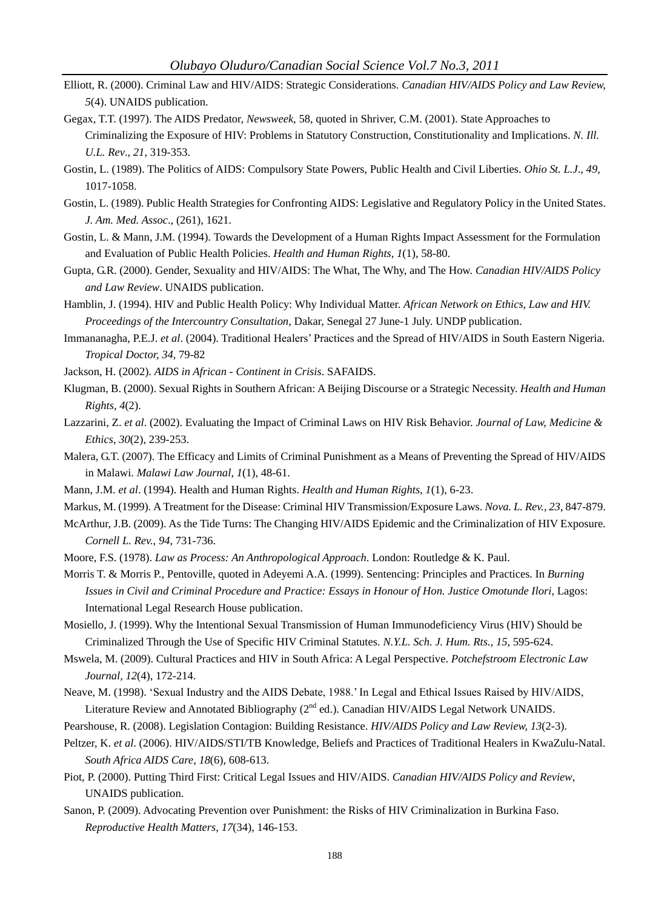- Elliott, R. (2000). Criminal Law and HIV/AIDS: Strategic Considerations. *Canadian HIV/AIDS Policy and Law Review, 5*(4). UNAIDS publication.
- Gegax, T.T. (1997). The AIDS Predator, *Newsweek*, 58, quoted in Shriver, C.M. (2001). State Approaches to Criminalizing the Exposure of HIV: Problems in Statutory Construction, Constitutionality and Implications. *N. Ill. U.L. Rev*., *21*, 319-353.
- Gostin, L. (1989). The Politics of AIDS: Compulsory State Powers, Public Health and Civil Liberties. *Ohio St. L.J*., *49*, 1017-1058.
- Gostin, L. (1989). Public Health Strategies for Confronting AIDS: Legislative and Regulatory Policy in the United States. *J. Am. Med. Assoc*., (261), 1621.
- Gostin, L. & Mann, J.M. (1994). Towards the Development of a Human Rights Impact Assessment for the Formulation and Evaluation of Public Health Policies. *Health and Human Rights*, *1*(1), 58-80.
- Gupta, G.R. (2000). Gender, Sexuality and HIV/AIDS: The What, The Why, and The How. *Canadian HIV/AIDS Policy and Law Review*. UNAIDS publication.
- Hamblin, J. (1994). HIV and Public Health Policy: Why Individual Matter. *African Network on Ethics, Law and HIV. Proceedings of the Intercountry Consultation,* Dakar, Senegal 27 June-1 July. UNDP publication.
- Immananagha, P.E.J. *et al*. (2004). Traditional Healers" Practices and the Spread of HIV/AIDS in South Eastern Nigeria. *Tropical Doctor, 34*, 79-82
- Jackson, H. (2002). *AIDS in African - Continent in Crisis*. SAFAIDS.
- Klugman, B. (2000). Sexual Rights in Southern African: A Beijing Discourse or a Strategic Necessity. *Health and Human Rights, 4*(2).
- Lazzarini, Z. *et al*. (2002). Evaluating the Impact of Criminal Laws on HIV Risk Behavior. *Journal of Law, Medicine & Ethics*, *30*(2), 239-253.
- Malera, G.T. (2007). The Efficacy and Limits of Criminal Punishment as a Means of Preventing the Spread of HIV/AIDS in Malawi. *Malawi Law Journal, 1*(1), 48-61.
- Mann, J.M. *et al*. (1994). Health and Human Rights. *Health and Human Rights*, *1*(1), 6-23.
- Markus, M. (1999). A Treatment for the Disease: Criminal HIV Transmission/Exposure Laws. *Nova. L. Rev., 23*, 847-879.
- McArthur, J.B. (2009). As the Tide Turns: The Changing HIV/AIDS Epidemic and the Criminalization of HIV Exposure. *Cornell L. Rev., 94*, 731-736.
- Moore, F.S. (1978). *Law as Process: An Anthropological Approach*. London: Routledge & K. Paul.
- Morris T. & Morris P., Pentoville, quoted in Adeyemi A.A. (1999). Sentencing: Principles and Practices. In *Burning Issues in Civil and Criminal Procedure and Practice: Essays in Honour of Hon. Justice Omotunde Ilori*, Lagos: International Legal Research House publication.
- Mosiello, J. (1999). Why the Intentional Sexual Transmission of Human Immunodeficiency Virus (HIV) Should be Criminalized Through the Use of Specific HIV Criminal Statutes. *N.Y.L. Sch. J. Hum. Rts., 15,* 595-624.
- Mswela, M. (2009). Cultural Practices and HIV in South Africa: A Legal Perspective. *Potchefstroom Electronic Law Journal, 12*(4), 172-214.
- Neave, M. (1998). "Sexual Industry and the AIDS Debate, 1988." In Legal and Ethical Issues Raised by HIV/AIDS, Literature Review and Annotated Bibliography (2<sup>nd</sup> ed.). Canadian HIV/AIDS Legal Network UNAIDS.
- Pearshouse, R. (2008). Legislation Contagion: Building Resistance. *HIV/AIDS Policy and Law Review, 13*(2-3).
- Peltzer, K. *et al*. (2006). HIV/AIDS/STI/TB Knowledge, Beliefs and Practices of Traditional Healers in KwaZulu-Natal. *South Africa AIDS Care*, *18*(6), 608-613.
- Piot, P. (2000). Putting Third First: Critical Legal Issues and HIV/AIDS. *Canadian HIV/AIDS Policy and Review*, UNAIDS publication.
- Sanon, P. (2009). Advocating Prevention over Punishment: the Risks of HIV Criminalization in Burkina Faso. *Reproductive Health Matters, 17*(34), 146-153.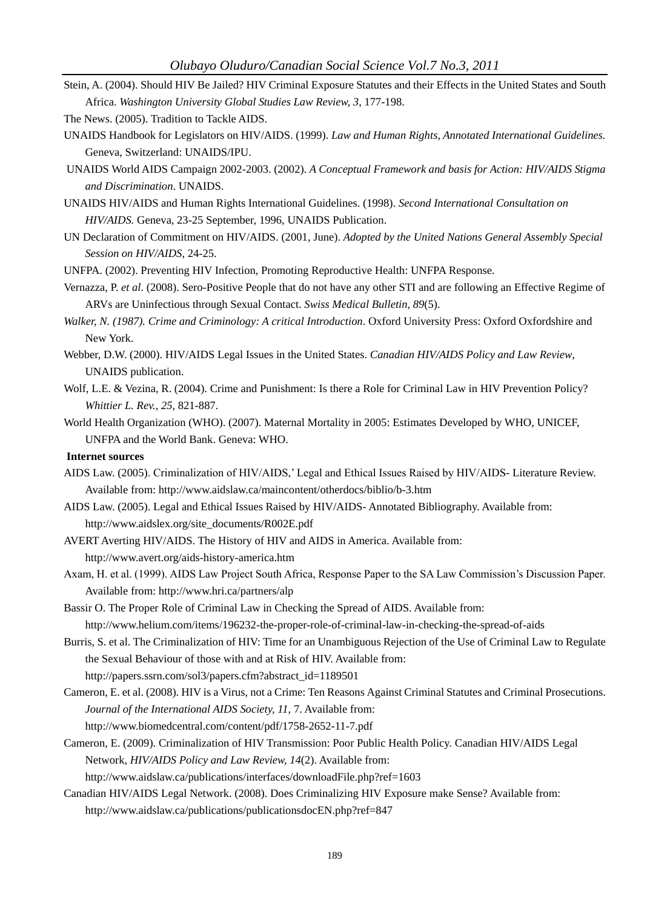Stein, A. (2004). Should HIV Be Jailed? HIV Criminal Exposure Statutes and their Effects in the United States and South Africa. *Washington University Global Studies Law Review, 3*, 177-198.

The News. (2005). Tradition to Tackle AIDS.

- UNAIDS Handbook for Legislators on HIV/AIDS. (1999). *Law and Human Rights, Annotated International Guidelines.* Geneva, Switzerland: UNAIDS/IPU.
- UNAIDS World AIDS Campaign 2002-2003. (2002). *A Conceptual Framework and basis for Action: HIV/AIDS Stigma and Discrimination*. UNAIDS.
- UNAIDS HIV/AIDS and Human Rights International Guidelines. (1998). *Second International Consultation on HIV/AIDS.* Geneva, 23-25 September, 1996, UNAIDS Publication.
- UN Declaration of Commitment on HIV/AIDS. (2001, June). *Adopted by the United Nations General Assembly Special Session on HIV/AIDS*, 24-25.
- UNFPA. (2002). Preventing HIV Infection, Promoting Reproductive Health: UNFPA Response.
- Vernazza, P. *et al*. (2008). Sero-Positive People that do not have any other STI and are following an Effective Regime of ARVs are Uninfectious through Sexual Contact. *Swiss Medical Bulletin, 89*(5).
- *Walker, N. (1987). Crime and Criminology: A critical Introduction*. Oxford University Press: Oxford Oxfordshire and New York.
- Webber, D.W. (2000). HIV/AIDS Legal Issues in the United States. *Canadian HIV/AIDS Policy and Law Review*, UNAIDS publication.
- Wolf, L.E. & Vezina, R. (2004). Crime and Punishment: Is there a Role for Criminal Law in HIV Prevention Policy? *Whittier L. Rev., 25,* 821-887.
- World Health Organization (WHO). (2007). Maternal Mortality in 2005: Estimates Developed by WHO, UNICEF, UNFPA and the World Bank. Geneva: WHO.

### **Internet sources**

- AIDS Law. (2005). Criminalization of HIV/AIDS," Legal and Ethical Issues Raised by HIV/AIDS- Literature Review. Available from: http://www.aidslaw.ca/maincontent/otherdocs/biblio/b-3.htm
- AIDS Law. (2005). Legal and Ethical Issues Raised by HIV/AIDS- Annotated Bibliography. Available from: http://www.aidslex.org/site\_documents/R002E.pdf
- AVERT Averting HIV/AIDS. The History of HIV and AIDS in America. Available from: http://www.avert.org/aids-history-america.htm
- Axam, H. et al. (1999). AIDS Law Project South Africa, Response Paper to the SA Law Commission"s Discussion Paper. Available from: http://www.hri.ca/partners/alp
- Bassir O. The Proper Role of Criminal Law in Checking the Spread of AIDS. Available from: http://www.helium.com/items/196232-the-proper-role-of-criminal-law-in-checking-the-spread-of-aids
- Burris, S. et al. The Criminalization of HIV: Time for an Unambiguous Rejection of the Use of Criminal Law to Regulate the Sexual Behaviour of those with and at Risk of HIV. Available from: http://papers.ssrn.com/sol3/papers.cfm?abstract\_id=1189501
- Cameron, E. et al. (2008). HIV is a Virus, not a Crime: Ten Reasons Against Criminal Statutes and Criminal Prosecutions. *Journal of the International AIDS Society, 11*, 7. Available from: http://www.biomedcentral.com/content/pdf/1758-2652-11-7.pdf
- Cameron, E. (2009). Criminalization of HIV Transmission: Poor Public Health Policy. Canadian HIV/AIDS Legal Network, *HIV/AIDS Policy and Law Review, 14*(2). Available from:

http://www.aidslaw.ca/publications/interfaces/downloadFile.php?ref=1603

Canadian HIV/AIDS Legal Network. (2008). Does Criminalizing HIV Exposure make Sense? Available from: http://www.aidslaw.ca/publications/publicationsdocEN.php?ref=847